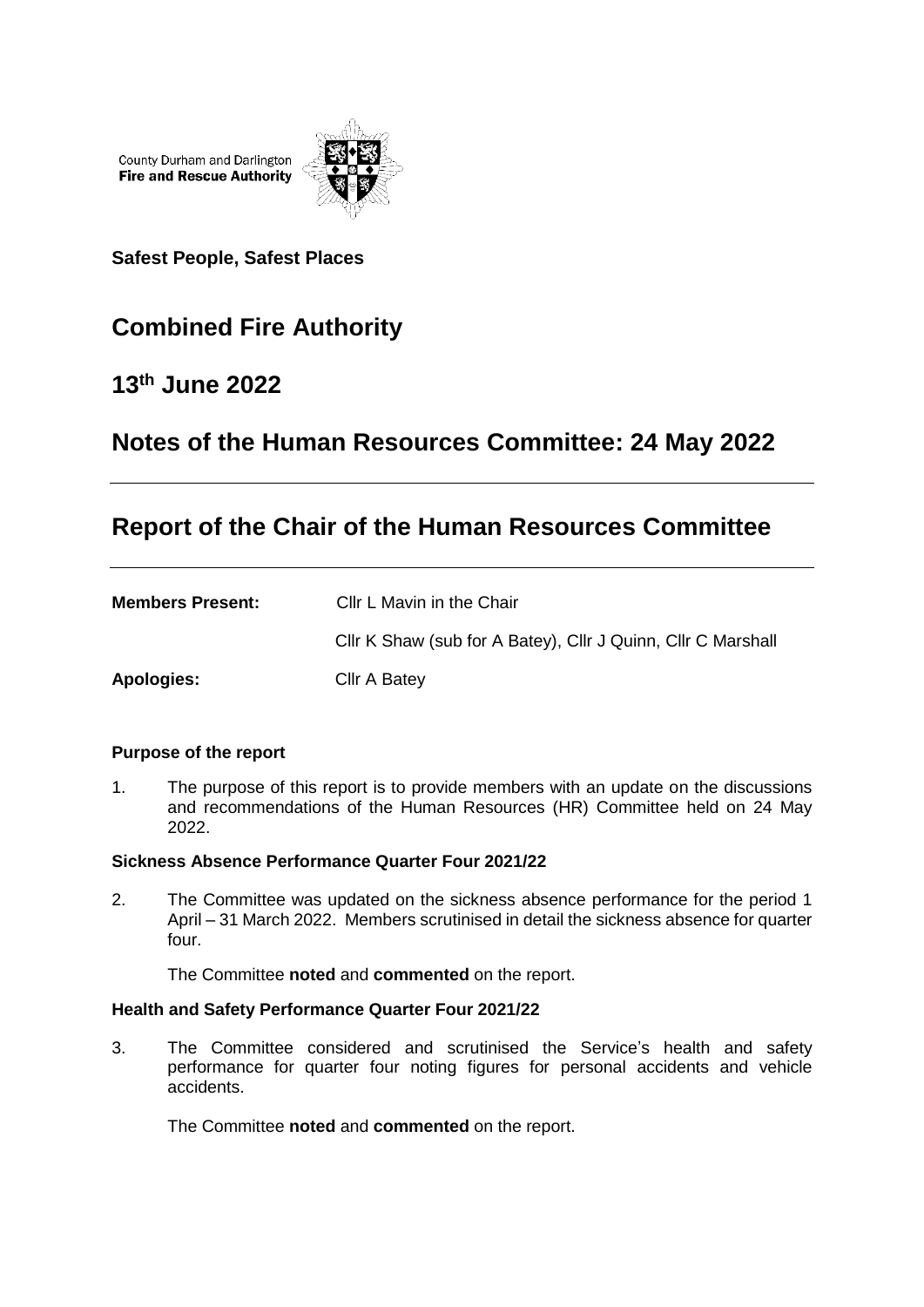County Durham and Darlington **Fire and Rescue Authority** 



**Safest People, Safest Places**

# **Combined Fire Authority**

### **13th June 2022**

### **Notes of the Human Resources Committee: 24 May 2022**

# **Report of the Chair of the Human Resources Committee**

| <b>Members Present:</b> | Cllr L Mavin in the Chair                                    |
|-------------------------|--------------------------------------------------------------|
|                         | Cllr K Shaw (sub for A Batey), Cllr J Quinn, Cllr C Marshall |
| <b>Apologies:</b>       | Cllr A Batey                                                 |

### **Purpose of the report**

1. The purpose of this report is to provide members with an update on the discussions and recommendations of the Human Resources (HR) Committee held on 24 May 2022.

### **Sickness Absence Performance Quarter Four 2021/22**

2. The Committee was updated on the sickness absence performance for the period 1 April – 31 March 2022. Members scrutinised in detail the sickness absence for quarter four.

The Committee **noted** and **commented** on the report.

### **Health and Safety Performance Quarter Four 2021/22**

3. The Committee considered and scrutinised the Service's health and safety performance for quarter four noting figures for personal accidents and vehicle accidents.

The Committee **noted** and **commented** on the report.